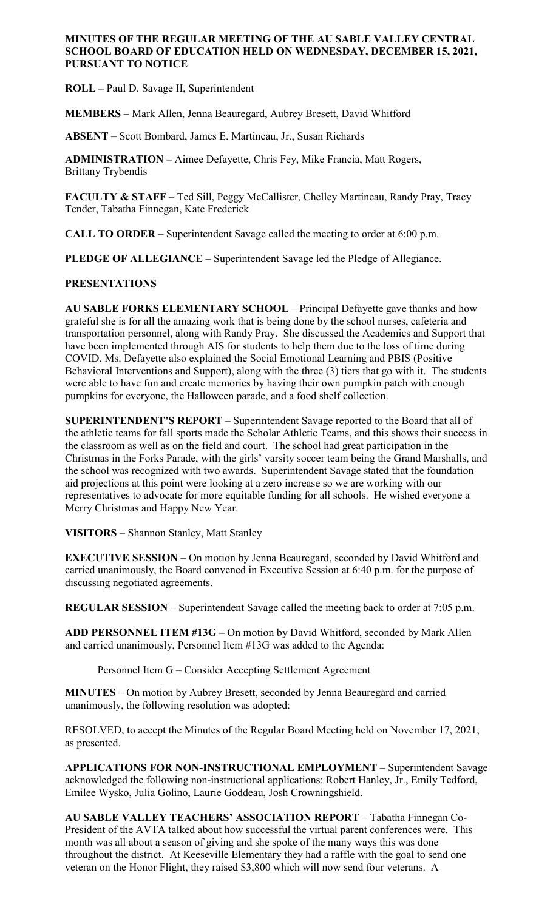#### **MINUTES OF THE REGULAR MEETING OF THE AU SABLE VALLEY CENTRAL SCHOOL BOARD OF EDUCATION HELD ON WEDNESDAY, DECEMBER 15, 2021, PURSUANT TO NOTICE**

**ROLL –** Paul D. Savage II, Superintendent

**MEMBERS –** Mark Allen, Jenna Beauregard, Aubrey Bresett, David Whitford

**ABSENT** – Scott Bombard, James E. Martineau, Jr., Susan Richards

**ADMINISTRATION –** Aimee Defayette, Chris Fey, Mike Francia, Matt Rogers, Brittany Trybendis

**FACULTY & STAFF –** Ted Sill, Peggy McCallister, Chelley Martineau, Randy Pray, Tracy Tender, Tabatha Finnegan, Kate Frederick

**CALL TO ORDER –** Superintendent Savage called the meeting to order at 6:00 p.m.

**PLEDGE OF ALLEGIANCE –** Superintendent Savage led the Pledge of Allegiance.

# **PRESENTATIONS**

**AU SABLE FORKS ELEMENTARY SCHOOL** – Principal Defayette gave thanks and how grateful she is for all the amazing work that is being done by the school nurses, cafeteria and transportation personnel, along with Randy Pray. She discussed the Academics and Support that have been implemented through AIS for students to help them due to the loss of time during COVID. Ms. Defayette also explained the Social Emotional Learning and PBIS (Positive Behavioral Interventions and Support), along with the three (3) tiers that go with it. The students were able to have fun and create memories by having their own pumpkin patch with enough pumpkins for everyone, the Halloween parade, and a food shelf collection.

**SUPERINTENDENT'S REPORT** – Superintendent Savage reported to the Board that all of the athletic teams for fall sports made the Scholar Athletic Teams, and this shows their success in the classroom as well as on the field and court. The school had great participation in the Christmas in the Forks Parade, with the girls' varsity soccer team being the Grand Marshalls, and the school was recognized with two awards. Superintendent Savage stated that the foundation aid projections at this point were looking at a zero increase so we are working with our representatives to advocate for more equitable funding for all schools. He wished everyone a Merry Christmas and Happy New Year.

**VISITORS** – Shannon Stanley, Matt Stanley

**EXECUTIVE SESSION –** On motion by Jenna Beauregard, seconded by David Whitford and carried unanimously, the Board convened in Executive Session at 6:40 p.m. for the purpose of discussing negotiated agreements.

**REGULAR SESSION** – Superintendent Savage called the meeting back to order at 7:05 p.m.

**ADD PERSONNEL ITEM #13G –** On motion by David Whitford, seconded by Mark Allen and carried unanimously, Personnel Item #13G was added to the Agenda:

Personnel Item G – Consider Accepting Settlement Agreement

**MINUTES** – On motion by Aubrey Bresett, seconded by Jenna Beauregard and carried unanimously, the following resolution was adopted:

RESOLVED, to accept the Minutes of the Regular Board Meeting held on November 17, 2021, as presented.

**APPLICATIONS FOR NON-INSTRUCTIONAL EMPLOYMENT –** Superintendent Savage acknowledged the following non-instructional applications: Robert Hanley, Jr., Emily Tedford, Emilee Wysko, Julia Golino, Laurie Goddeau, Josh Crowningshield.

**AU SABLE VALLEY TEACHERS' ASSOCIATION REPORT** – Tabatha Finnegan Co-President of the AVTA talked about how successful the virtual parent conferences were. This month was all about a season of giving and she spoke of the many ways this was done throughout the district. At Keeseville Elementary they had a raffle with the goal to send one veteran on the Honor Flight, they raised \$3,800 which will now send four veterans. A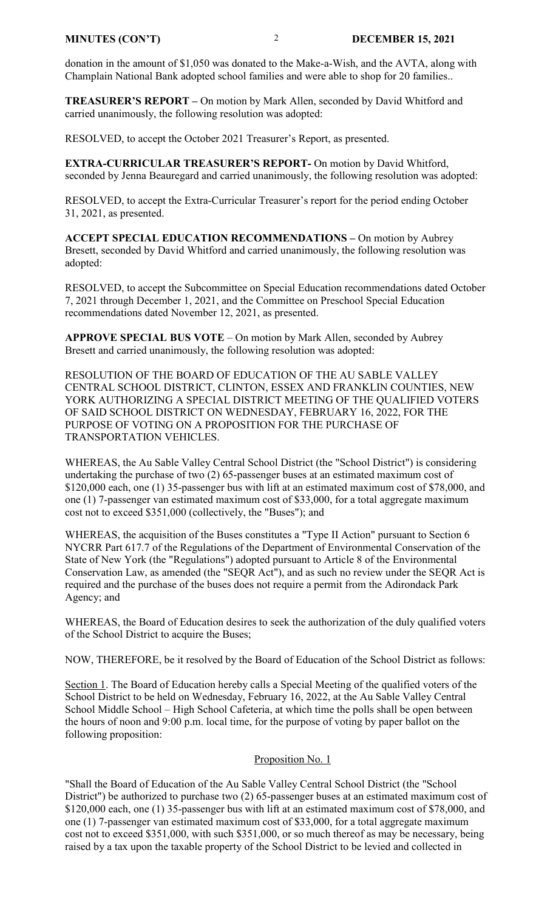donation in the amount of \$1,050 was donated to the Make-a-Wish, and the AVTA, along with Champlain National Bank adopted school families and were able to shop for 20 families..

**TREASURER'S REPORT –** On motion by Mark Allen, seconded by David Whitford and carried unanimously, the following resolution was adopted:

RESOLVED, to accept the October 2021 Treasurer's Report, as presented.

**EXTRA-CURRICULAR TREASURER'S REPORT-** On motion by David Whitford, seconded by Jenna Beauregard and carried unanimously, the following resolution was adopted:

RESOLVED, to accept the Extra-Curricular Treasurer's report for the period ending October 31, 2021, as presented.

**ACCEPT SPECIAL EDUCATION RECOMMENDATIONS –** On motion by Aubrey Bresett, seconded by David Whitford and carried unanimously, the following resolution was adopted:

RESOLVED, to accept the Subcommittee on Special Education recommendations dated October 7, 2021 through December 1, 2021, and the Committee on Preschool Special Education recommendations dated November 12, 2021, as presented.

**APPROVE SPECIAL BUS VOTE** – On motion by Mark Allen, seconded by Aubrey Bresett and carried unanimously, the following resolution was adopted:

RESOLUTION OF THE BOARD OF EDUCATION OF THE AU SABLE VALLEY CENTRAL SCHOOL DISTRICT, CLINTON, ESSEX AND FRANKLIN COUNTIES, NEW YORK AUTHORIZING A SPECIAL DISTRICT MEETING OF THE QUALIFIED VOTERS OF SAID SCHOOL DISTRICT ON WEDNESDAY, FEBRUARY 16, 2022, FOR THE PURPOSE OF VOTING ON A PROPOSITION FOR THE PURCHASE OF TRANSPORTATION VEHICLES.

WHEREAS, the Au Sable Valley Central School District (the "School District") is considering undertaking the purchase of two (2) 65-passenger buses at an estimated maximum cost of \$120,000 each, one (1) 35-passenger bus with lift at an estimated maximum cost of \$78,000, and one (1) 7-passenger van estimated maximum cost of \$33,000, for a total aggregate maximum cost not to exceed \$351,000 (collectively, the "Buses"); and

WHEREAS, the acquisition of the Buses constitutes a "Type II Action" pursuant to Section 6 NYCRR Part 617.7 of the Regulations of the Department of Environmental Conservation of the State of New York (the "Regulations") adopted pursuant to Article 8 of the Environmental Conservation Law, as amended (the "SEQR Act"), and as such no review under the SEQR Act is required and the purchase of the buses does not require a permit from the Adirondack Park Agency; and

WHEREAS, the Board of Education desires to seek the authorization of the duly qualified voters of the School District to acquire the Buses;

NOW, THEREFORE, be it resolved by the Board of Education of the School District as follows:

Section 1. The Board of Education hereby calls a Special Meeting of the qualified voters of the School District to be held on Wednesday, February 16, 2022, at the Au Sable Valley Central School Middle School – High School Cafeteria, at which time the polls shall be open between the hours of noon and 9:00 p.m. local time, for the purpose of voting by paper ballot on the following proposition:

#### Proposition No. 1

"Shall the Board of Education of the Au Sable Valley Central School District (the "School District") be authorized to purchase two (2) 65-passenger buses at an estimated maximum cost of \$120,000 each, one (1) 35-passenger bus with lift at an estimated maximum cost of \$78,000, and one (1) 7-passenger van estimated maximum cost of \$33,000, for a total aggregate maximum cost not to exceed \$351,000, with such \$351,000, or so much thereof as may be necessary, being raised by a tax upon the taxable property of the School District to be levied and collected in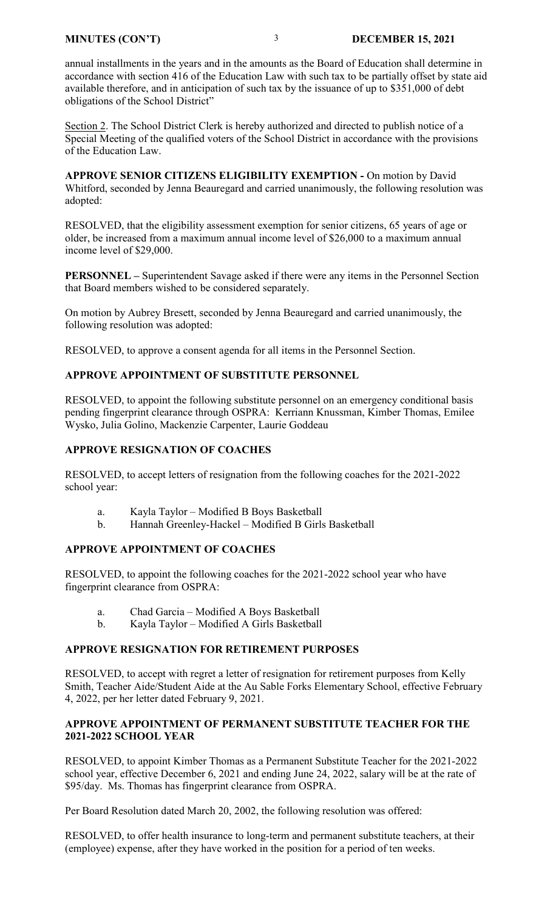annual installments in the years and in the amounts as the Board of Education shall determine in accordance with section 416 of the Education Law with such tax to be partially offset by state aid available therefore, and in anticipation of such tax by the issuance of up to \$351,000 of debt obligations of the School District"

Section 2. The School District Clerk is hereby authorized and directed to publish notice of a Special Meeting of the qualified voters of the School District in accordance with the provisions of the Education Law.

**APPROVE SENIOR CITIZENS ELIGIBILITY EXEMPTION -** On motion by David Whitford, seconded by Jenna Beauregard and carried unanimously, the following resolution was adopted:

RESOLVED, that the eligibility assessment exemption for senior citizens, 65 years of age or older, be increased from a maximum annual income level of \$26,000 to a maximum annual income level of \$29,000.

**PERSONNEL –** Superintendent Savage asked if there were any items in the Personnel Section that Board members wished to be considered separately.

On motion by Aubrey Bresett, seconded by Jenna Beauregard and carried unanimously, the following resolution was adopted:

RESOLVED, to approve a consent agenda for all items in the Personnel Section.

#### **APPROVE APPOINTMENT OF SUBSTITUTE PERSONNEL**

RESOLVED, to appoint the following substitute personnel on an emergency conditional basis pending fingerprint clearance through OSPRA: Kerriann Knussman, Kimber Thomas, Emilee Wysko, Julia Golino, Mackenzie Carpenter, Laurie Goddeau

#### **APPROVE RESIGNATION OF COACHES**

RESOLVED, to accept letters of resignation from the following coaches for the 2021-2022 school year:

- a. Kayla Taylor Modified B Boys Basketball
- b. Hannah Greenley-Hackel Modified B Girls Basketball

#### **APPROVE APPOINTMENT OF COACHES**

RESOLVED, to appoint the following coaches for the 2021-2022 school year who have fingerprint clearance from OSPRA:

- a. Chad Garcia Modified A Boys Basketball
- b. Kayla Taylor Modified A Girls Basketball

#### **APPROVE RESIGNATION FOR RETIREMENT PURPOSES**

RESOLVED, to accept with regret a letter of resignation for retirement purposes from Kelly Smith, Teacher Aide/Student Aide at the Au Sable Forks Elementary School, effective February 4, 2022, per her letter dated February 9, 2021.

#### **APPROVE APPOINTMENT OF PERMANENT SUBSTITUTE TEACHER FOR THE 2021-2022 SCHOOL YEAR**

RESOLVED, to appoint Kimber Thomas as a Permanent Substitute Teacher for the 2021-2022 school year, effective December 6, 2021 and ending June 24, 2022, salary will be at the rate of \$95/day. Ms. Thomas has fingerprint clearance from OSPRA.

Per Board Resolution dated March 20, 2002, the following resolution was offered:

RESOLVED, to offer health insurance to long-term and permanent substitute teachers, at their (employee) expense, after they have worked in the position for a period of ten weeks.